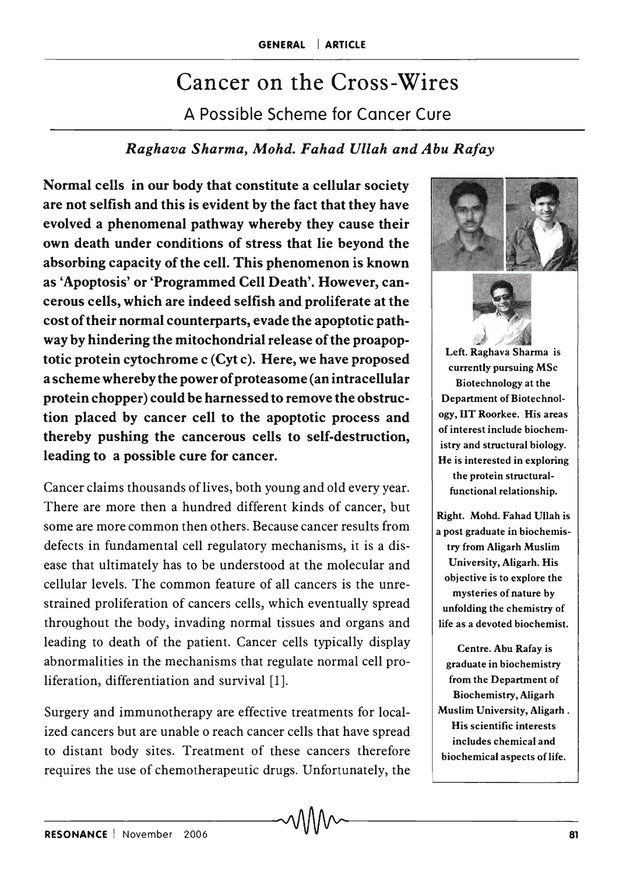# Cancer on the Cross-Wires A Possible Scheme for Cancer Cure

## *Raghava Sharma, Mohd. Fahad Ullah and Abu Ratay*

Normal cells in our body that constitute a cellular society are not selfish and this is evident by the fact that they have evolved a phenomenal pathway whereby they cause their own death under conditions of stress that lie beyond the absorbing capacity of the cell. This phenomenon is known as 'Apoptosis' or 'Programmed Cell Death'. However, cancerous cells, which are indeed selfish and proliferate at the cost of their normal counterparts, evade the apoptotic pathway by hindering the mitochondrial release of the proapoptotic protein cytochrome c (Cyt c). Here, we have proposed a scheme whereby the power of proteasome (an intracellular protein chopper) could be harnessed to remove the obstruction placed by cancer cell to the apoptotic process and thereby pushing the cancerous cells to self-destruction, leading to a possible cure for cancer.

Cancer claims thousands of lives, both young and old every year. There are more then a hundred different kinds of cancer, but some are more common then others. Because cancer results from defects in fundamental cell regulatory mechanisms, it is a disease that ultimately has to be understood at the molecular and cellular levels. The common feature of all cancers is the unrestrained proliferation of cancers cells, which eventually spread throughout the body, invading normal tissues and organs and leading to death of the patient. Cancer cells typically display abnormalities in the mechanisms that regulate normal cell proliferation, differentiation and survival [1].

Surgery and immunotherapy are effective treatments for localized cancers but are unable o reach cancer cells that have spread to distant body sites. Treatment of these cancers therefore requires the use of chemotherapeutic drugs. Unfortunately, the



try from Aligarh Muslim University, Aligarh. His objective is to explore the mysteries of nature by unfolding the chemistry of life as a devoted biochemist.

Centre. Abu Rafay is graduate in biochemistry from the Department of Biochemistry, Aligarh Muslim University, Aligarh. His scientific interests includes chemical and biochemical aspects of life.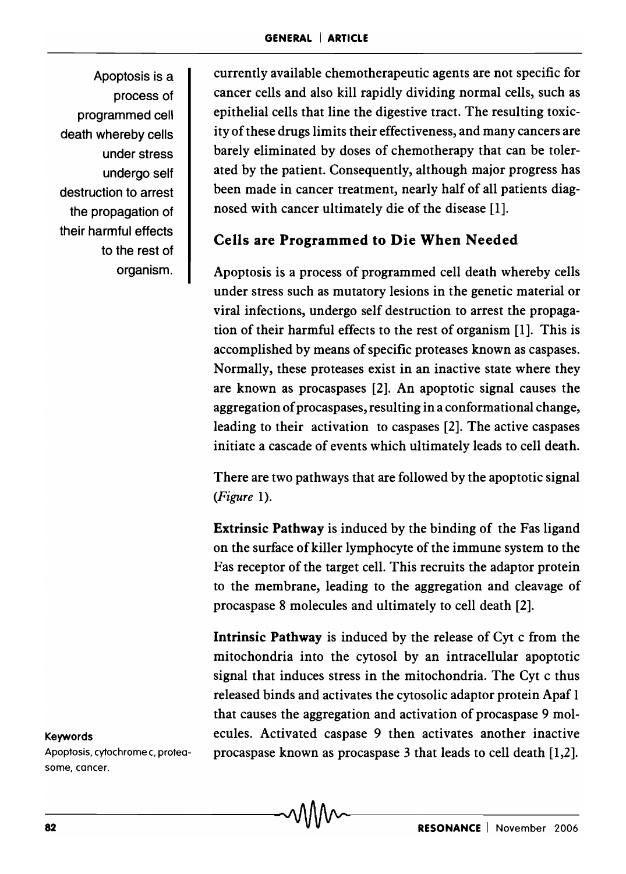Apoptosis is a process of programmed cell death whereby cells under stress undergo self destruction to arrest the propagation of their harmful effects to the rest of organism.

currently available chemotherapeutic agents are not specific for cancer cells and also kill rapidly dividing normal cells, such as epithelial cells that line the digestive tract. The resulting toxicity of these drugs limits their effectiveness, and many cancers are barely eliminated by doses of chemotherapy that can be tolerated by the patient. Consequently, although major progress has been made in cancer treatment, nearly half of all patients diagnosed with cancer ultimately die of the disease [1].

## Cells are Programmed to Die When Needed

Apoptosis is a process of programmed cell death whereby cells under stress such as mutatory lesions in the genetic material or viral infections, undergo self destruction to arrest the propagation of their harmful effects to the rest of organism [1]. This is accomplished by means of specific proteases known as caspases. Normally, these proteases exist in an inactive state where they are known as procaspases [2]. An apoptotic signal causes the aggregation of procaspases, resulting in a conformational change, leading to their activation to caspases [2]. The active caspases initiate a cascade of events which ultimately leads to cell death.

There are two pathways that are followed by the apoptotic signal *(Figure 1).* 

Extrinsic Pathway is induced by the binding of the Fas ligand on the surface of killer lymphocyte of the immune system to the Fas receptor of the target cell. This recruits the adaptor protein to the membrane, leading to the aggregation and cleavage of procaspase 8 molecules and ultimately to cell death [2].

Intrinsic Pathway is induced by the release of Cyt c from the mitochondria into the cytosol by an intracellular apoptotic signal that induces stress in the mitochondria. The Cyt c thus released binds and activates the cytosolic adaptor protein Apaf 1 that causes the aggregation and activation of procaspase 9 mol-Keywords ecules. Activated caspase 9 then activates another inactive Apoptosis, cytochrome c, protea- procaspase known as procaspase 3 that leads to cell death [1,2].

some, cancer.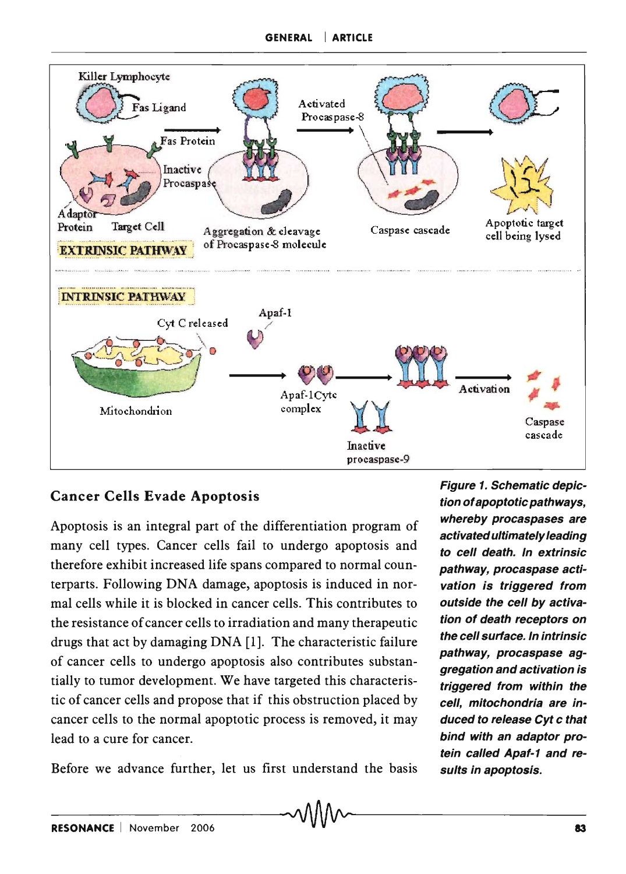

# Cancer Cells Evade Apoptosis

Apoptosis is an integral part of the differentiation program of many cell types. Cancer cells fail to undergo apoptosis and therefore exhibit increased life spans compared to normal counterparts. Following DNA damage, apoptosis is induced in normal cells while it is blocked in cancer cells. This contributes to the resistance of cancer cells to irradiation and many therapeutic drugs that act by damaging DNA [1]. The characteristic failure of cancer cells to undergo apoptosis also contributes substantially to tumor development. We have targeted this characteristic of cancer cells and propose that if this obstruction placed by cancer cells to the normal apoptotic process is removed, it may lead to a cure for cancer.

Before we advance further, let us first understand the basis

Figure 1. Schematic depiction of apoptotic pathways, whereby procaspases are activated ultimately leading to cell death. In extrinsic pathway, procaspase activation is triggered from outside the cell by activation of death receptors on the cell surface. In intrinsic pathway, procaspase aggregation and activation is triggered from within the cell, mitochondria are induced to release Cyt c that bind with an adaptor protein called Apaf-1 and results in apoptosis.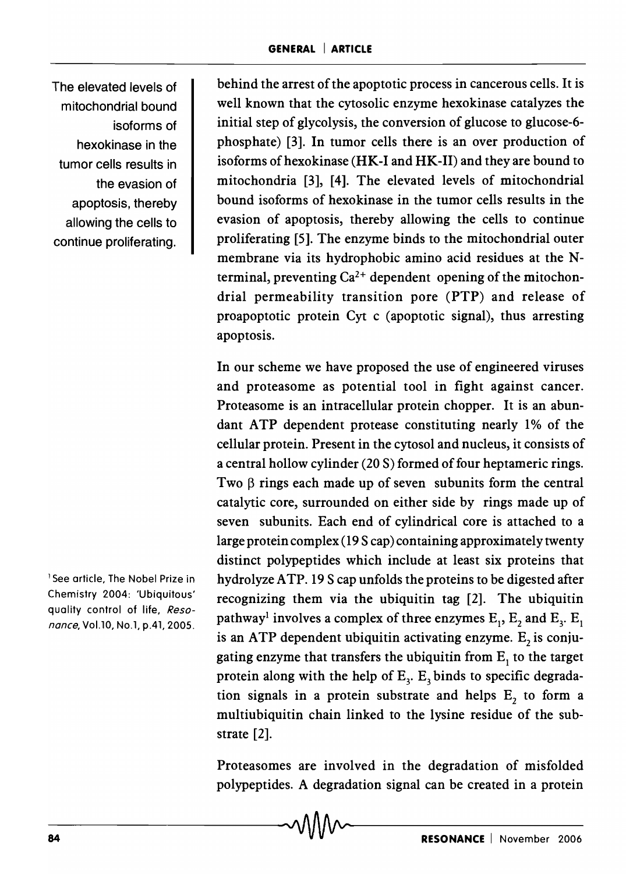The elevated levels of mitochondrial bound isoforms of hexokinase in the tumor cells results in the evasion of apoptosis, thereby allowing the cells to continue proliferating.

<sup>1</sup> See article, The Nobel Prize in Chemistry 2004: 'Ubiquitous' quality control of life, Reso*nance,* VoLlO, No.1, p.41, 2005.

behind the arrest of the apoptotic process in cancerous cells. It is well known that the cytosolic enzyme hexokinase catalyzes the initial step of glycolysis, the conversion of glucose to glucose-6 phosphate) [3]. In tumor cells there is an over production of isoforms of hexokinase (HK-I and HK-II) and they are bound to mitochondria [3], [4]. The elevated levels of mitochondrial bound isoforms of hexokinase in the tumor cells results in the evasion of apoptosis, thereby allowing the cells to continue proliferating [5]. The enzyme binds to the mitochondrial outer membrane via its hydrophobic amino acid residues at the Nterminal, preventing  $Ca^{2+}$  dependent opening of the mitochondrial permeability transition pore (PTP) and release of proapoptotic protein Cyt c (apoptotic signal), thus arresting apoptosis.

In our scheme we have proposed the use of engineered viruses and proteasome as potential tool in fight against cancer. Proteasome is an intracellular protein chopper. It is an abundant ATP dependent protease constituting nearly 1% of the cellular protein. Present in the cytosol and nucleus, it consists of a central hollow cylinder (20 S) formed of four heptameric rings. Two  $\beta$  rings each made up of seven subunits form the central catalytic core, surrounded on either side by rings made up of seven subunits. Each end of cylindrical core is attached to a large protein complex (19 S cap) containing approximately twenty distinct polypeptides which include at least six proteins that hydrolyze A TP. 19 S cap unfolds the proteins to be digested after recognizing them via the ubiquitin tag [2]. The ubiquitin pathway<sup>1</sup> involves a complex of three enzymes  $E_1$ ,  $E_2$  and  $E_3$ .  $E_1$ is an ATP dependent ubiquitin activating enzyme.  $E<sub>2</sub>$  is conjugating enzyme that transfers the ubiquitin from  $E_1$  to the target protein along with the help of  $E<sub>3</sub>$ .  $E<sub>3</sub>$  binds to specific degradation signals in a protein substrate and helps  $E<sub>2</sub>$  to form a multiubiquitin chain linked to the lysine residue of the substrate [2].

Proteasomes are involved in the degradation of misfolded polypeptides. A degradation signal can be created in a protein Proteasomes are involved in the degradation of misfolded<br>polypeptides. A degradation signal can be created in a protein<br>**RESONANCE** | November 2006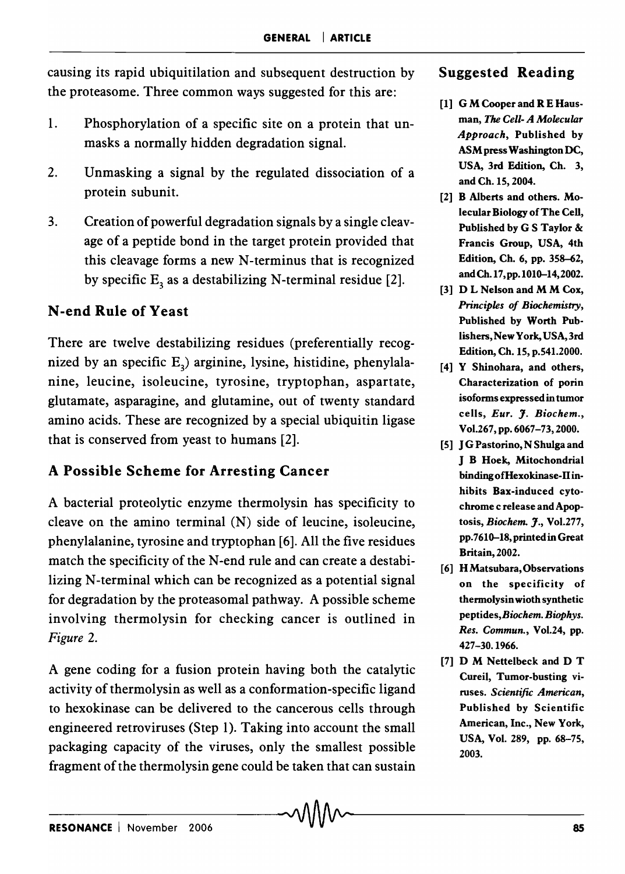causing its rapid ubiquitilation and subsequent destruction by the proteasome. Three common ways suggested for this are:

- 1. Phosphorylation of a specific site on a protein that unmasks a normally hidden degradation signal.
- 2. Unmasking a signal by the regulated dissociation of a protein subunit.
- 3. Creation of powerful degradation signals by a single cleavage of a peptide bond in the target protein provided that this cleavage forms a new N-terminus that is recognized by specific  $E_3$  as a destabilizing N-terminal residue [2].

## N -end Rule of Yeast

There are twelve destabilizing residues (preferentially recognized by an specific  $E_3$ ) arginine, lysine, histidine, phenylalanine, leucine, isoleucine, tyrosine, tryptophan, aspartate, glutamate, asparagine, and glutamine, out of twenty standard amino acids. These are recognized by a special ubiquitin ligase that is conserved from yeast to humans [2].

#### A Possible Scheme for Arresting Cancer

A bacterial proteolytic enzyme thermolysin has specificity to cleave on the amino terminal (N) side of leucine, isoleucine, phenylalanine, tyrosine and tryptophan [6]. All the five residues match the specificity of the N-end rule and can create a destabilizing N-terminal which can be recognized as a potential signal for degradation by the proteasomal pathway. A possible scheme involving thermolysin for checking cancer is outlined in *Figure 2.* 

A gene coding for a fusion protein having both the catalytic activity of thermolysin as well as a conformation-specific ligand to hexokinase can be delivered to the cancerous cells through engineered retroviruses (Step 1). Taking into account the small packaging capacity of the viruses, only the smallest possible fragment of the thermolysin gene could be taken that can sustain

#### Suggested Reading

- [1] G M Cooper and R E Hausman, The *Cell- A Molecular Approach,* Published by ASM press Washington DC, USA, 3rd Edition, Ch. 3, and Ch. 15,2004.
- [2] B Alberts and others. Molecular Biology of The Cell, Published by G S Taylor & Francis Group, USA, 4th Edition, Ch. 6, pp. 358-62, andCh.17,pp.1010-14,2002.
- [3] D L Nelson and M M Cox, *Principles of Biochemistry,*  Published by Worth Publishers, New York, USA, 3rd Edition, Ch. IS, p.541.2000.
- [4] Y Shinohara, and others, Characterization of porin isoforms expressed in tumor cells, *Eur.* J. *Biochem.,*  Vo1.267, pp. 6067-73, 2000.
- [5] J G Pastorino, N Shulga and J B Hoek, Mitochondrial binding of Hexokinase-II inhibits Bax-induced cytochrome c release and Apoptosis, *Biochem.* J., Vo1.277, pp.7610-18,printedinGreat Britain, 2002.
- [6] HMatsubara,Observations on the specificity of thermolysin wioth synthetic *peptides,Biochem. Biophys. Res. Commun.,* Vo1.24, pp. 427-30.1966.
- [7] D M Nettelbeck and D T Cureil, Tumor-busting viruses. *Scientific American,*  Published by Scientific American, Inc., New York, USA, Vol. 289, pp. 68-75, 2003.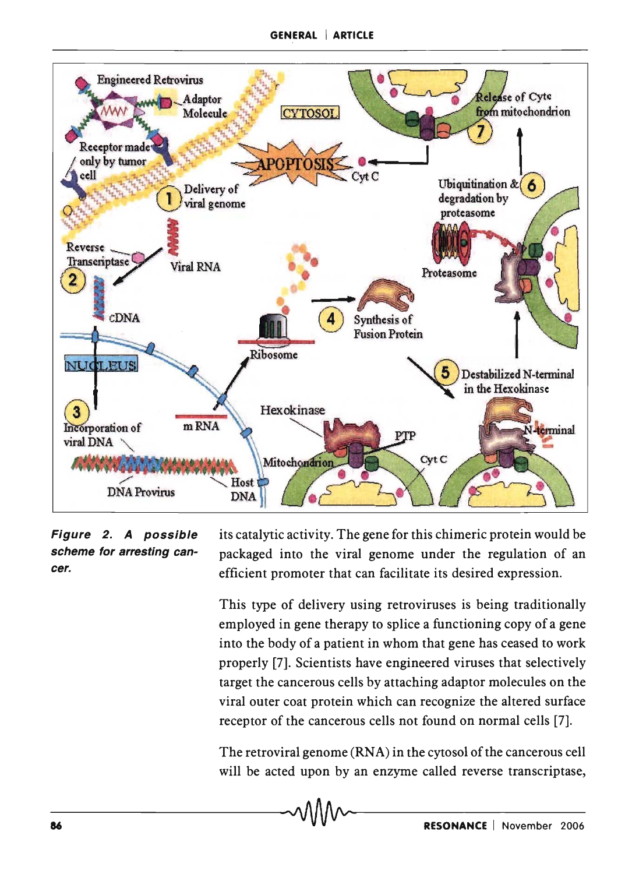

#### Figure 2. A possible scheme for arresting cancer.

its catalytic activity. The gene for this chimeric protein would be packaged into the viral genome under the regulation of an efficient promoter that can facilitate its desired expression.

This type of delivery using retroviruses is being traditionally employed in gene therapy to splice a functioning copy of a gene into the body of a patient in whom that gene has ceased to work properly [7]. Scientists have engineered viruses that selectively target the cancerous cells by attaching adaptor molecules on the viral outer coat protein which can recognize the altered surface receptor of the cancerous cells not found on normal cells [7].

The retroviral genome (RNA) in the cytosol of the cancerous cell will be acted upon by an enzyme called reverse transcriptase,